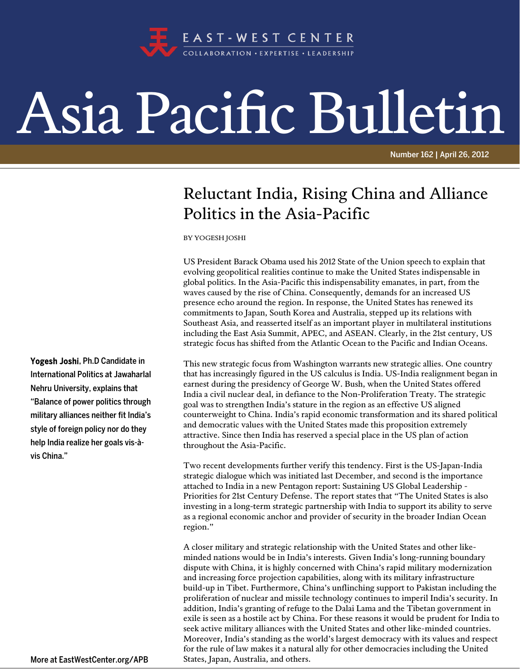

## Asia Pacific Bulletin

Number 162 | April 26, 2012

## Reluctant India, Rising China and Alliance Politics in the Asia-Pacific

BY YOGESH JOSHI

US President Barack Obama used his 2012 State of the Union speech to explain that evolving geopolitical realities continue to make the United States indispensable in global politics. In the Asia-Pacific this indispensability emanates, in part, from the waves caused by the rise of China. Consequently, demands for an increased US presence echo around the region. In response, the United States has renewed its commitments to Japan, South Korea and Australia, stepped up its relations with Southeast Asia, and reasserted itself as an important player in multilateral institutions including the East Asia Summit, APEC, and ASEAN. Clearly, in the 21st century, US strategic focus has shifted from the Atlantic Ocean to the Pacific and Indian Oceans.

This new strategic focus from Washington warrants new strategic allies. One country that has increasingly figured in the US calculus is India. US-India realignment began in earnest during the presidency of George W. Bush, when the United States offered India a civil nuclear deal, in defiance to the Non-Proliferation Treaty. The strategic goal was to strengthen India's stature in the region as an effective US aligned counterweight to China. India's rapid economic transformation and its shared political and democratic values with the United States made this proposition extremely attractive. Since then India has reserved a special place in the US plan of action throughout the Asia-Pacific.

Two recent developments further verify this tendency. First is the US-Japan-India strategic dialogue which was initiated last December, and second is the importance attached to India in a new Pentagon report: Sustaining US Global Leadership - Priorities for 21st Century Defense. The report states that "The United States is also investing in a long-term strategic partnership with India to support its ability to serve as a regional economic anchor and provider of security in the broader Indian Ocean region."

A closer military and strategic relationship with the United States and other likeminded nations would be in India's interests. Given India's long-running boundary dispute with China, it is highly concerned with China's rapid military modernization and increasing force projection capabilities, along with its military infrastructure build-up in Tibet. Furthermore, China's unflinching support to Pakistan including the proliferation of nuclear and missile technology continues to imperil India's security. In addition, India's granting of refuge to the Dalai Lama and the Tibetan government in exile is seen as a hostile act by China. For these reasons it would be prudent for India to seek active military alliances with the United States and other like-minded countries. Moreover, India's standing as the world's largest democracy with its values and respect for the rule of law makes it a natural ally for other democracies including the United States, Japan, Australia, and others.

Yogesh Joshi, Ph.D Candidate in International Politics at Jawaharlal Nehru University, explains that "Balance of power politics through military alliances neither fit India's style of foreign policy nor do they help India realize her goals vis-àvis China."